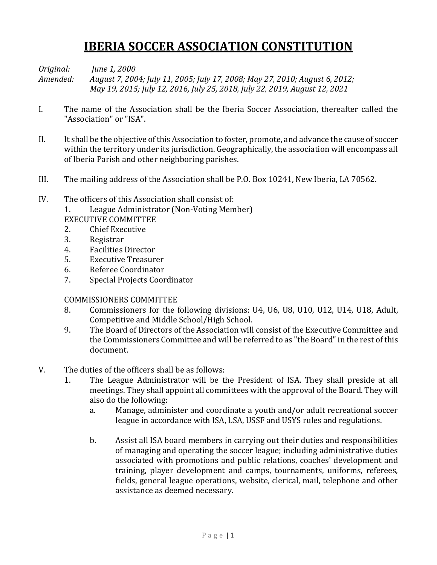# **IBERIA SOCCER ASSOCIATION CONSTITUTION**

*Original: June 1, 2000 Amended: August 7, 2004; July 11, 2005; July 17, 2008; May 27, 2010; August 6, 2012; May 19, 2015; July 12, 2016, July 25, 2018, July 22, 2019, August 12, 2021*

- I. The name of the Association shall be the Iberia Soccer Association, thereafter called the "Association" or "ISA".
- II. It shall be the objective of this Association to foster, promote, and advance the cause of soccer within the territory under its jurisdiction. Geographically, the association will encompass all of Iberia Parish and other neighboring parishes.
- III. The mailing address of the Association shall be P.O. Box 10241, New Iberia, LA 70562.
- IV. The officers of this Association shall consist of:

1. League Administrator (Non-Voting Member)

- EXECUTIVE COMMITTEE
- 2. Chief Executive
- 3. Registrar
- 4. Facilities Director
- 5. Executive Treasurer
- 6. Referee Coordinator
- 7. Special Projects Coordinator

# COMMISSIONERS COMMITTEE

- 8. Commissioners for the following divisions: U4, U6, U8, U10, U12, U14, U18, Adult, Competitive and Middle School/High School.
- 9. The Board of Directors of the Association will consist of the Executive Committee and the Commissioners Committee and will be referred to as "the Board" in the rest of this document.
- V. The duties of the officers shall be as follows:
	- 1. The League Administrator will be the President of ISA. They shall preside at all meetings. They shall appoint all committees with the approval of the Board. They will also do the following:
		- a. Manage, administer and coordinate a youth and/or adult recreational soccer league in accordance with ISA, LSA, USSF and USYS rules and regulations.
		- b. Assist all ISA board members in carrying out their duties and responsibilities of managing and operating the soccer league; including administrative duties associated with promotions and public relations, coaches' development and training, player development and camps, tournaments, uniforms, referees, fields, general league operations, website, clerical, mail, telephone and other assistance as deemed necessary.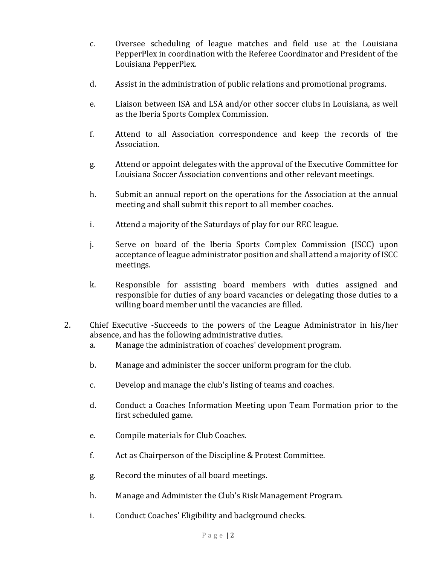- c. Oversee scheduling of league matches and field use at the Louisiana PepperPlex in coordination with the Referee Coordinator and President of the Louisiana PepperPlex.
- d. Assist in the administration of public relations and promotional programs.
- e. Liaison between ISA and LSA and/or other soccer clubs in Louisiana, as well as the Iberia Sports Complex Commission.
- f. Attend to all Association correspondence and keep the records of the Association.
- g. Attend or appoint delegates with the approval of the Executive Committee for Louisiana Soccer Association conventions and other relevant meetings.
- h. Submit an annual report on the operations for the Association at the annual meeting and shall submit this report to all member coaches.
- i. Attend a majority of the Saturdays of play for our REC league.
- j. Serve on board of the Iberia Sports Complex Commission (ISCC) upon acceptance of league administrator position and shall attend a majority of ISCC meetings.
- k. Responsible for assisting board members with duties assigned and responsible for duties of any board vacancies or delegating those duties to a willing board member until the vacancies are filled.
- 2. Chief Executive -Succeeds to the powers of the League Administrator in his/her absence, and has the following administrative duties.
	- a. Manage the administration of coaches' development program.
	- b. Manage and administer the soccer uniform program for the club.
	- c. Develop and manage the club's listing of teams and coaches.
	- d. Conduct a Coaches Information Meeting upon Team Formation prior to the first scheduled game.
	- e. Compile materials for Club Coaches.
	- f. Act as Chairperson of the Discipline & Protest Committee.
	- g. Record the minutes of all board meetings.
	- h. Manage and Administer the Club's Risk Management Program.
	- i. Conduct Coaches' Eligibility and background checks.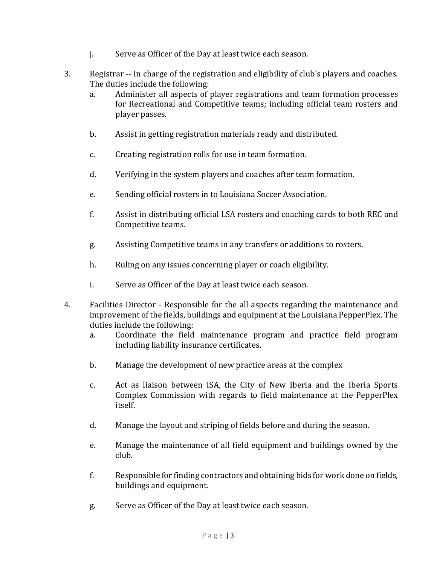- j. Serve as Officer of the Day at least twice each season.
- 3. Registrar -- In charge of the registration and eligibility of club's players and coaches. The duties include the following:
	- a. Administer all aspects of player registrations and team formation processes for Recreational and Competitive teams; including official team rosters and player passes.
	- b. Assist in getting registration materials ready and distributed.
	- c. Creating registration rolls for use in team formation.
	- d. Verifying in the system players and coaches after team formation.
	- e. Sending official rosters in to Louisiana Soccer Association.
	- f. Assist in distributing official LSA rosters and coaching cards to both REC and Competitive teams.
	- g. Assisting Competitive teams in any transfers or additions to rosters.
	- h. Ruling on any issues concerning player or coach eligibility.
	- i. Serve as Officer of the Day at least twice each season.
- 4. Facilities Director Responsible for the all aspects regarding the maintenance and improvement of the fields, buildings and equipment at the Louisiana PepperPlex. The duties include the following:
	- a. Coordinate the field maintenance program and practice field program including liability insurance certificates.
	- b. Manage the development of new practice areas at the complex
	- c. Act as liaison between ISA, the City of New Iberia and the Iberia Sports Complex Commission with regards to field maintenance at the PepperPlex itself.
	- d. Manage the layout and striping of fields before and during the season.
	- e. Manage the maintenance of all field equipment and buildings owned by the club.
	- f. Responsible for finding contractors and obtaining bids for work done on fields, buildings and equipment.
	- g. Serve as Officer of the Day at least twice each season.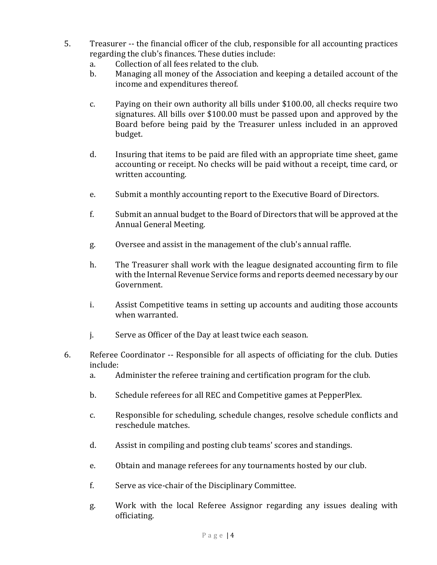- 5. Treasurer -- the financial officer of the club, responsible for all accounting practices regarding the club's finances. These duties include:
	- a. Collection of all fees related to the club.
	- b. Managing all money of the Association and keeping a detailed account of the income and expenditures thereof.
	- c. Paying on their own authority all bills under \$100.00, all checks require two signatures. All bills over \$100.00 must be passed upon and approved by the Board before being paid by the Treasurer unless included in an approved budget.
	- d. Insuring that items to be paid are filed with an appropriate time sheet, game accounting or receipt. No checks will be paid without a receipt, time card, or written accounting.
	- e. Submit a monthly accounting report to the Executive Board of Directors.
	- f. Submit an annual budget to the Board of Directors that will be approved at the Annual General Meeting.
	- g. Oversee and assist in the management of the club's annual raffle.
	- h. The Treasurer shall work with the league designated accounting firm to file with the Internal Revenue Service forms and reports deemed necessary by our Government.
	- i. Assist Competitive teams in setting up accounts and auditing those accounts when warranted.
	- j. Serve as Officer of the Day at least twice each season.
- 6. Referee Coordinator -- Responsible for all aspects of officiating for the club. Duties include:
	- a. Administer the referee training and certification program for the club.
	- b. Schedule referees for all REC and Competitive games at PepperPlex.
	- c. Responsible for scheduling, schedule changes, resolve schedule conflicts and reschedule matches.
	- d. Assist in compiling and posting club teams' scores and standings.
	- e. Obtain and manage referees for any tournaments hosted by our club.
	- f. Serve as vice-chair of the Disciplinary Committee.
	- g. Work with the local Referee Assignor regarding any issues dealing with officiating.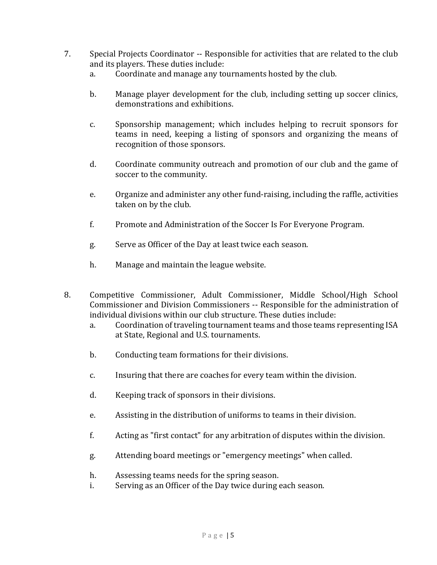- 7. Special Projects Coordinator -- Responsible for activities that are related to the club and its players. These duties include:
	- a. Coordinate and manage any tournaments hosted by the club.
	- b. Manage player development for the club, including setting up soccer clinics, demonstrations and exhibitions.
	- c. Sponsorship management; which includes helping to recruit sponsors for teams in need, keeping a listing of sponsors and organizing the means of recognition of those sponsors.
	- d. Coordinate community outreach and promotion of our club and the game of soccer to the community.
	- e. Organize and administer any other fund-raising, including the raffle, activities taken on by the club.
	- f. Promote and Administration of the Soccer Is For Everyone Program.
	- g. Serve as Officer of the Day at least twice each season.
	- h. Manage and maintain the league website.
- 8. Competitive Commissioner, Adult Commissioner, Middle School/High School Commissioner and Division Commissioners -- Responsible for the administration of individual divisions within our club structure. These duties include:
	- a. Coordination of traveling tournament teams and those teams representing ISA at State, Regional and U.S. tournaments.
	- b. Conducting team formations for their divisions.
	- c. Insuring that there are coaches for every team within the division.
	- d. Keeping track of sponsors in their divisions.
	- e. Assisting in the distribution of uniforms to teams in their division.
	- f. Acting as "first contact" for any arbitration of disputes within the division.
	- g. Attending board meetings or "emergency meetings" when called.
	- h. Assessing teams needs for the spring season.
	- i. Serving as an Officer of the Day twice during each season.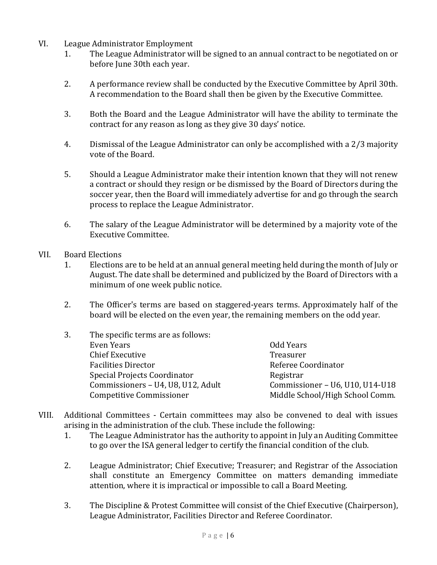- VI. League Administrator Employment
	- 1. The League Administrator will be signed to an annual contract to be negotiated on or before June 30th each year.
	- 2. A performance review shall be conducted by the Executive Committee by April 30th. A recommendation to the Board shall then be given by the Executive Committee.
	- 3. Both the Board and the League Administrator will have the ability to terminate the contract for any reason as long as they give 30 days' notice.
	- 4. Dismissal of the League Administrator can only be accomplished with a 2/3 majority vote of the Board.
	- 5. Should a League Administrator make their intention known that they will not renew a contract or should they resign or be dismissed by the Board of Directors during the soccer year, then the Board will immediately advertise for and go through the search process to replace the League Administrator.
	- 6. The salary of the League Administrator will be determined by a majority vote of the Executive Committee.
- VII. Board Elections
	- 1. Elections are to be held at an annual general meeting held during the month of July or August. The date shall be determined and publicized by the Board of Directors with a minimum of one week public notice.
	- 2. The Officer's terms are based on staggered-years terms. Approximately half of the board will be elected on the even year, the remaining members on the odd year.
	- 3. The specific terms are as follows: Even Years **Even Years Even Years Odd Years** Chief Executive **Treasurer** Facilities Director **Referee** Coordinator Special Projects Coordinator **Registran** Commissioners – U4, U8, U12, Adult Commissioner – U6, U10, U14-U18 Competitive Commissioner Middle School/High School Comm.
- VIII. Additional Committees Certain committees may also be convened to deal with issues arising in the administration of the club. These include the following:
	- 1. The League Administrator has the authority to appoint in July an Auditing Committee to go over the ISA general ledger to certify the financial condition of the club.
	- 2. League Administrator; Chief Executive; Treasurer; and Registrar of the Association shall constitute an Emergency Committee on matters demanding immediate attention, where it is impractical or impossible to call a Board Meeting.
	- 3. The Discipline & Protest Committee will consist of the Chief Executive (Chairperson), League Administrator, Facilities Director and Referee Coordinator.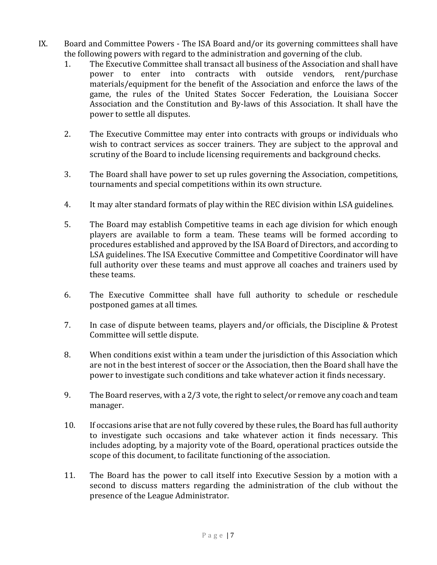- IX. Board and Committee Powers The ISA Board and/or its governing committees shall have the following powers with regard to the administration and governing of the club.
	- 1. The Executive Committee shall transact all business of the Association and shall have power to enter into contracts with outside vendors, rent/purchase materials/equipment for the benefit of the Association and enforce the laws of the game, the rules of the United States Soccer Federation, the Louisiana Soccer Association and the Constitution and By-laws of this Association. It shall have the power to settle all disputes.
	- 2. The Executive Committee may enter into contracts with groups or individuals who wish to contract services as soccer trainers. They are subject to the approval and scrutiny of the Board to include licensing requirements and background checks.
	- 3. The Board shall have power to set up rules governing the Association, competitions, tournaments and special competitions within its own structure.
	- 4. It may alter standard formats of play within the REC division within LSA guidelines.
	- 5. The Board may establish Competitive teams in each age division for which enough players are available to form a team. These teams will be formed according to procedures established and approved by the ISA Board of Directors, and according to LSA guidelines. The ISA Executive Committee and Competitive Coordinator will have full authority over these teams and must approve all coaches and trainers used by these teams.
	- 6. The Executive Committee shall have full authority to schedule or reschedule postponed games at all times.
	- 7. In case of dispute between teams, players and/or officials, the Discipline & Protest Committee will settle dispute.
	- 8. When conditions exist within a team under the jurisdiction of this Association which are not in the best interest of soccer or the Association, then the Board shall have the power to investigate such conditions and take whatever action it finds necessary.
	- 9. The Board reserves, with a 2/3 vote, the right to select/or remove any coach and team manager.
	- 10. If occasions arise that are not fully covered by these rules, the Board has full authority to investigate such occasions and take whatever action it finds necessary. This includes adopting, by a majority vote of the Board, operational practices outside the scope of this document, to facilitate functioning of the association.
	- 11. The Board has the power to call itself into Executive Session by a motion with a second to discuss matters regarding the administration of the club without the presence of the League Administrator.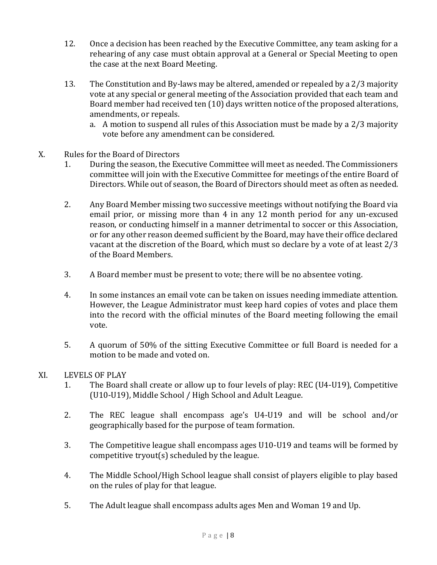- 12. Once a decision has been reached by the Executive Committee, any team asking for a rehearing of any case must obtain approval at a General or Special Meeting to open the case at the next Board Meeting.
- 13. The Constitution and By-laws may be altered, amended or repealed by a 2/3 majority vote at any special or general meeting of the Association provided that each team and Board member had received ten (10) days written notice of the proposed alterations, amendments, or repeals.
	- a. A motion to suspend all rules of this Association must be made by a 2/3 majority vote before any amendment can be considered.
- X. Rules for the Board of Directors
	- 1. During the season, the Executive Committee will meet as needed. The Commissioners committee will join with the Executive Committee for meetings of the entire Board of Directors. While out of season, the Board of Directors should meet as often as needed.
	- 2. Any Board Member missing two successive meetings without notifying the Board via email prior, or missing more than 4 in any 12 month period for any un-excused reason, or conducting himself in a manner detrimental to soccer or this Association, or for any other reason deemed sufficient by the Board, may have their office declared vacant at the discretion of the Board, which must so declare by a vote of at least 2/3 of the Board Members.
	- 3. A Board member must be present to vote; there will be no absentee voting.
	- 4. In some instances an email vote can be taken on issues needing immediate attention. However, the League Administrator must keep hard copies of votes and place them into the record with the official minutes of the Board meeting following the email vote.
	- 5. A quorum of 50% of the sitting Executive Committee or full Board is needed for a motion to be made and voted on.

# XI. LEVELS OF PLAY

- 1. The Board shall create or allow up to four levels of play: REC (U4-U19), Competitive (U10-U19), Middle School / High School and Adult League.
- 2. The REC league shall encompass age's U4-U19 and will be school and/or geographically based for the purpose of team formation.
- 3. The Competitive league shall encompass ages U10-U19 and teams will be formed by competitive tryout(s) scheduled by the league.
- 4. The Middle School/High School league shall consist of players eligible to play based on the rules of play for that league.
- 5. The Adult league shall encompass adults ages Men and Woman 19 and Up.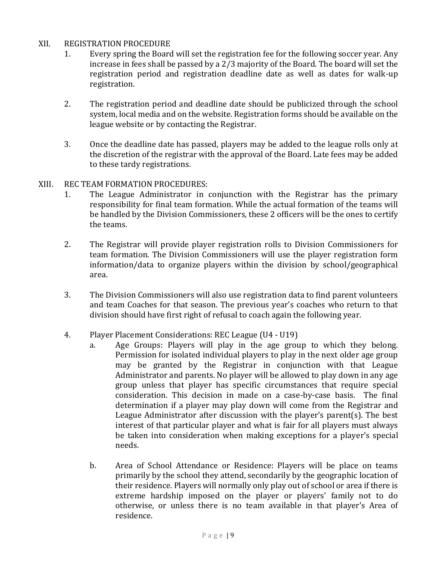# XII. REGISTRATION PROCEDURE

- 1. Every spring the Board will set the registration fee for the following soccer year. Any increase in fees shall be passed by a 2/3 majority of the Board. The board will set the registration period and registration deadline date as well as dates for walk-up registration.
- 2. The registration period and deadline date should be publicized through the school system, local media and on the website. Registration forms should be available on the league website or by contacting the Registrar.
- 3. Once the deadline date has passed, players may be added to the league rolls only at the discretion of the registrar with the approval of the Board. Late fees may be added to these tardy registrations.

# XIII. REC TEAM FORMATION PROCEDURES:

- 1. The League Administrator in conjunction with the Registrar has the primary responsibility for final team formation. While the actual formation of the teams will be handled by the Division Commissioners, these 2 officers will be the ones to certify the teams.
- 2. The Registrar will provide player registration rolls to Division Commissioners for team formation. The Division Commissioners will use the player registration form information/data to organize players within the division by school/geographical area.
- 3. The Division Commissioners will also use registration data to find parent volunteers and team Coaches for that season. The previous year's coaches who return to that division should have first right of refusal to coach again the following year.
- 4. Player Placement Considerations: REC League (U4 U19)
	- a. Age Groups: Players will play in the age group to which they belong. Permission for isolated individual players to play in the next older age group may be granted by the Registrar in conjunction with that League Administrator and parents. No player will be allowed to play down in any age group unless that player has specific circumstances that require special consideration. This decision in made on a case-by-case basis. The final determination if a player may play down will come from the Registrar and League Administrator after discussion with the player's parent(s). The best interest of that particular player and what is fair for all players must always be taken into consideration when making exceptions for a player's special needs.
	- b. Area of School Attendance or Residence: Players will be place on teams primarily by the school they attend, secondarily by the geographic location of their residence. Players will normally only play out of school or area if there is extreme hardship imposed on the player or players' family not to do otherwise, or unless there is no team available in that player's Area of residence.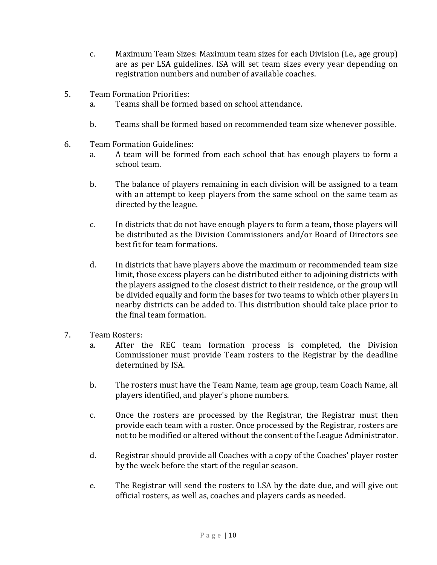- c. Maximum Team Sizes: Maximum team sizes for each Division (i.e., age group) are as per LSA guidelines. ISA will set team sizes every year depending on registration numbers and number of available coaches.
- 5. Team Formation Priorities:
	- a. Teams shall be formed based on school attendance.
	- b. Teams shall be formed based on recommended team size whenever possible.
- 6. Team Formation Guidelines:
	- a. A team will be formed from each school that has enough players to form a school team.
	- b. The balance of players remaining in each division will be assigned to a team with an attempt to keep players from the same school on the same team as directed by the league.
	- c. In districts that do not have enough players to form a team, those players will be distributed as the Division Commissioners and/or Board of Directors see best fit for team formations.
	- d. In districts that have players above the maximum or recommended team size limit, those excess players can be distributed either to adjoining districts with the players assigned to the closest district to their residence, or the group will be divided equally and form the bases for two teams to which other players in nearby districts can be added to. This distribution should take place prior to the final team formation.
- 7. Team Rosters:
	- a. After the REC team formation process is completed, the Division Commissioner must provide Team rosters to the Registrar by the deadline determined by ISA.
	- b. The rosters must have the Team Name, team age group, team Coach Name, all players identified, and player's phone numbers.
	- c. Once the rosters are processed by the Registrar, the Registrar must then provide each team with a roster. Once processed by the Registrar, rosters are not to be modified or altered without the consent of the League Administrator.
	- d. Registrar should provide all Coaches with a copy of the Coaches' player roster by the week before the start of the regular season.
	- e. The Registrar will send the rosters to LSA by the date due, and will give out official rosters, as well as, coaches and players cards as needed.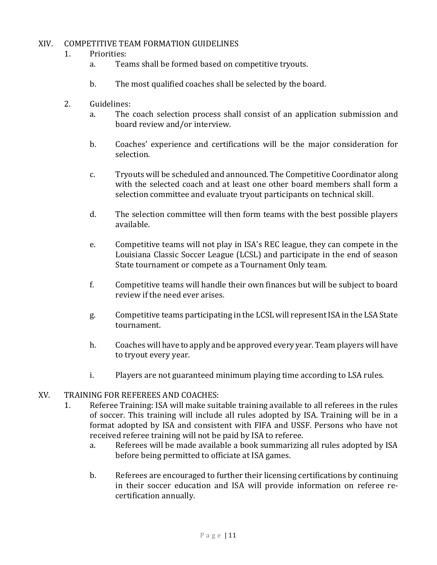# XIV. COMPETITIVE TEAM FORMATION GUIDELINES

#### 1. Priorities:

- a. Teams shall be formed based on competitive tryouts.
- b. The most qualified coaches shall be selected by the board.
- 2. Guidelines:
	- a. The coach selection process shall consist of an application submission and board review and/or interview.
	- b. Coaches' experience and certifications will be the major consideration for selection.
	- c. Tryouts will be scheduled and announced. The Competitive Coordinator along with the selected coach and at least one other board members shall form a selection committee and evaluate tryout participants on technical skill.
	- d. The selection committee will then form teams with the best possible players available.
	- e. Competitive teams will not play in ISA's REC league, they can compete in the Louisiana Classic Soccer League (LCSL) and participate in the end of season State tournament or compete as a Tournament Only team.
	- f. Competitive teams will handle their own finances but will be subject to board review if the need ever arises.
	- g. Competitive teams participating in the LCSL will represent ISA in the LSA State tournament.
	- h. Coaches will have to apply and be approved every year. Team players will have to tryout every year.
	- i. Players are not guaranteed minimum playing time according to LSA rules.

# XV. TRAINING FOR REFEREES AND COACHES:

- 1. Referee Training: ISA will make suitable training available to all referees in the rules of soccer. This training will include all rules adopted by ISA. Training will be in a format adopted by ISA and consistent with FIFA and USSF. Persons who have not received referee training will not be paid by ISA to referee.
	- a. Referees will be made available a book summarizing all rules adopted by ISA before being permitted to officiate at ISA games.
	- b. Referees are encouraged to further their licensing certifications by continuing in their soccer education and ISA will provide information on referee recertification annually.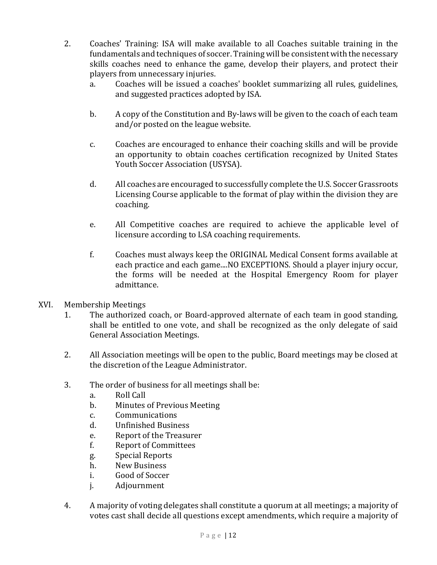- 2. Coaches' Training: ISA will make available to all Coaches suitable training in the fundamentals and techniques of soccer. Training will be consistent with the necessary skills coaches need to enhance the game, develop their players, and protect their players from unnecessary injuries.
	- a. Coaches will be issued a coaches' booklet summarizing all rules, guidelines, and suggested practices adopted by ISA.
	- b. A copy of the Constitution and By-laws will be given to the coach of each team and/or posted on the league website.
	- c. Coaches are encouraged to enhance their coaching skills and will be provide an opportunity to obtain coaches certification recognized by United States Youth Soccer Association (USYSA).
	- d. All coaches are encouraged to successfully complete the U.S. Soccer Grassroots Licensing Course applicable to the format of play within the division they are coaching.
	- e. All Competitive coaches are required to achieve the applicable level of licensure according to LSA coaching requirements.
	- f. Coaches must always keep the ORIGINAL Medical Consent forms available at each practice and each game....NO EXCEPTIONS. Should a player injury occur, the forms will be needed at the Hospital Emergency Room for player admittance.
- XVI. Membership Meetings
	- 1. The authorized coach, or Board-approved alternate of each team in good standing, shall be entitled to one vote, and shall be recognized as the only delegate of said General Association Meetings.
	- 2. All Association meetings will be open to the public, Board meetings may be closed at the discretion of the League Administrator.
	- 3. The order of business for all meetings shall be:
		- a. Roll Call
		- b. Minutes of Previous Meeting
		- c. Communications
		- d. Unfinished Business
		- e. Report of the Treasurer
		- f. Report of Committees
		- g. Special Reports
		- h. New Business
		- i. Good of Soccer
		- j. Adjournment
	- 4. A majority of voting delegates shall constitute a quorum at all meetings; a majority of votes cast shall decide all questions except amendments, which require a majority of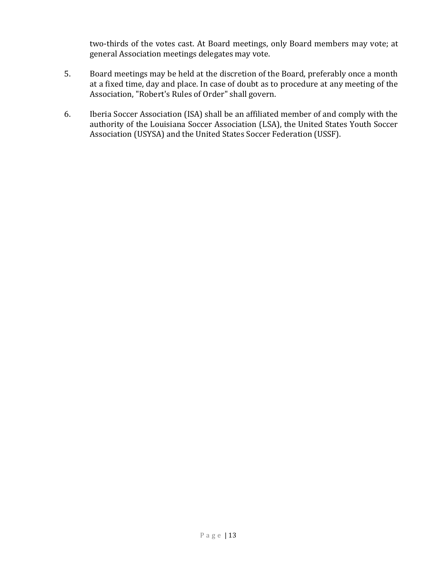two-thirds of the votes cast. At Board meetings, only Board members may vote; at general Association meetings delegates may vote.

- 5. Board meetings may be held at the discretion of the Board, preferably once a month at a fixed time, day and place. In case of doubt as to procedure at any meeting of the Association, "Robert's Rules of Order" shall govern.
- 6. Iberia Soccer Association (ISA) shall be an affiliated member of and comply with the authority of the Louisiana Soccer Association (LSA), the United States Youth Soccer Association (USYSA) and the United States Soccer Federation (USSF).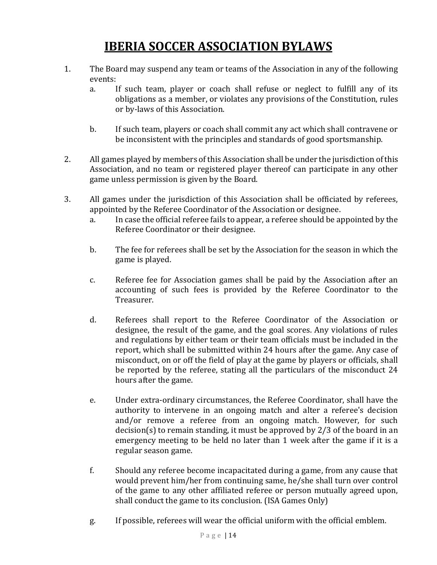# **IBERIA SOCCER ASSOCIATION BYLAWS**

- 1. The Board may suspend any team or teams of the Association in any of the following events:
	- a. If such team, player or coach shall refuse or neglect to fulfill any of its obligations as a member, or violates any provisions of the Constitution, rules or by-laws of this Association.
	- b. If such team, players or coach shall commit any act which shall contravene or be inconsistent with the principles and standards of good sportsmanship.
- 2. All games played by members of this Association shall be under the jurisdiction of this Association, and no team or registered player thereof can participate in any other game unless permission is given by the Board.
- 3. All games under the jurisdiction of this Association shall be officiated by referees, appointed by the Referee Coordinator of the Association or designee.
	- a. In case the official referee fails to appear, a referee should be appointed by the Referee Coordinator or their designee.
	- b. The fee for referees shall be set by the Association for the season in which the game is played.
	- c. Referee fee for Association games shall be paid by the Association after an accounting of such fees is provided by the Referee Coordinator to the Treasurer.
	- d. Referees shall report to the Referee Coordinator of the Association or designee, the result of the game, and the goal scores. Any violations of rules and regulations by either team or their team officials must be included in the report, which shall be submitted within 24 hours after the game. Any case of misconduct, on or off the field of play at the game by players or officials, shall be reported by the referee, stating all the particulars of the misconduct 24 hours after the game.
	- e. Under extra-ordinary circumstances, the Referee Coordinator, shall have the authority to intervene in an ongoing match and alter a referee's decision and/or remove a referee from an ongoing match. However, for such decision(s) to remain standing, it must be approved by 2/3 of the board in an emergency meeting to be held no later than 1 week after the game if it is a regular season game.
	- f. Should any referee become incapacitated during a game, from any cause that would prevent him/her from continuing same, he/she shall turn over control of the game to any other affiliated referee or person mutually agreed upon, shall conduct the game to its conclusion. (ISA Games Only)
	- g. If possible, referees will wear the official uniform with the official emblem.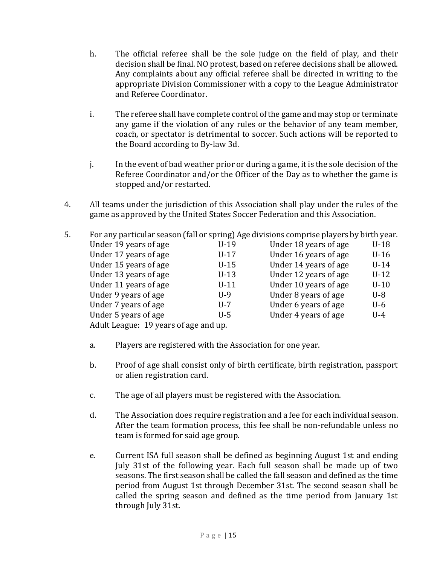- h. The official referee shall be the sole judge on the field of play, and their decision shall be final. NO protest, based on referee decisions shall be allowed. Any complaints about any official referee shall be directed in writing to the appropriate Division Commissioner with a copy to the League Administrator and Referee Coordinator.
- i. The referee shall have complete control of the game and may stop or terminate any game if the violation of any rules or the behavior of any team member, coach, or spectator is detrimental to soccer. Such actions will be reported to the Board according to By-law 3d.
- j. In the event of bad weather prior or during a game, it is the sole decision of the Referee Coordinator and/or the Officer of the Day as to whether the game is stopped and/or restarted.
- 4. All teams under the jurisdiction of this Association shall play under the rules of the game as approved by the United States Soccer Federation and this Association.

| 5. | For any particular season (fall or spring) Age divisions comprise players by birth year. |        |                       |        |
|----|------------------------------------------------------------------------------------------|--------|-----------------------|--------|
|    | Under 19 years of age                                                                    | $U-19$ | Under 18 years of age | $U-18$ |
|    | Under 17 years of age                                                                    | $U-17$ | Under 16 years of age | $U-16$ |
|    | Under 15 years of age                                                                    | $U-15$ | Under 14 years of age | $U-14$ |
|    | Under 13 years of age                                                                    | $U-13$ | Under 12 years of age | $U-12$ |
|    | Under 11 years of age                                                                    | $U-11$ | Under 10 years of age | $U-10$ |
|    | Under 9 years of age                                                                     | $U-9$  | Under 8 years of age  | $U-8$  |
|    | Under 7 years of age                                                                     | $U-7$  | Under 6 years of age  | $U-6$  |
|    | Under 5 years of age                                                                     | $U-5$  | Under 4 years of age  | $U-4$  |
|    | Adult League: 19 years of age and up.                                                    |        |                       |        |

- a. Players are registered with the Association for one year.
- b. Proof of age shall consist only of birth certificate, birth registration, passport or alien registration card.
- c. The age of all players must be registered with the Association.
- d. The Association does require registration and a fee for each individual season. After the team formation process, this fee shall be non-refundable unless no team is formed for said age group.
- e. Current ISA full season shall be defined as beginning August 1st and ending July 31st of the following year. Each full season shall be made up of two seasons. The first season shall be called the fall season and defined as the time period from August 1st through December 31st. The second season shall be called the spring season and defined as the time period from January 1st through July 31st.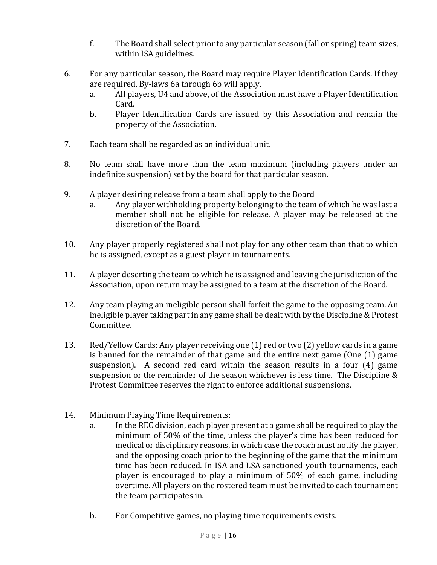- f. The Board shall select prior to any particular season (fall or spring) team sizes, within ISA guidelines.
- 6. For any particular season, the Board may require Player Identification Cards. If they are required, By-laws 6a through 6b will apply.
	- a. All players, U4 and above, of the Association must have a Player Identification Card.
	- b. Player Identification Cards are issued by this Association and remain the property of the Association.
- 7. Each team shall be regarded as an individual unit.
- 8. No team shall have more than the team maximum (including players under an indefinite suspension) set by the board for that particular season.
- 9. A player desiring release from a team shall apply to the Board
	- a. Any player withholding property belonging to the team of which he was last a member shall not be eligible for release. A player may be released at the discretion of the Board.
- 10. Any player properly registered shall not play for any other team than that to which he is assigned, except as a guest player in tournaments.
- 11. A player deserting the team to which he is assigned and leaving the jurisdiction of the Association, upon return may be assigned to a team at the discretion of the Board.
- 12. Any team playing an ineligible person shall forfeit the game to the opposing team. An ineligible player taking part in any game shall be dealt with by the Discipline & Protest Committee.
- 13. Red/Yellow Cards: Any player receiving one (1) red or two (2) yellow cards in a game is banned for the remainder of that game and the entire next game (One (1) game suspension). A second red card within the season results in a four (4) game suspension or the remainder of the season whichever is less time. The Discipline & Protest Committee reserves the right to enforce additional suspensions.
- 14. Minimum Playing Time Requirements:
	- a. In the REC division, each player present at a game shall be required to play the minimum of 50% of the time, unless the player's time has been reduced for medical or disciplinary reasons, in which case the coach must notify the player, and the opposing coach prior to the beginning of the game that the minimum time has been reduced. In ISA and LSA sanctioned youth tournaments, each player is encouraged to play a minimum of 50% of each game, including overtime. All players on the rostered team must be invited to each tournament the team participates in.
	- b. For Competitive games, no playing time requirements exists.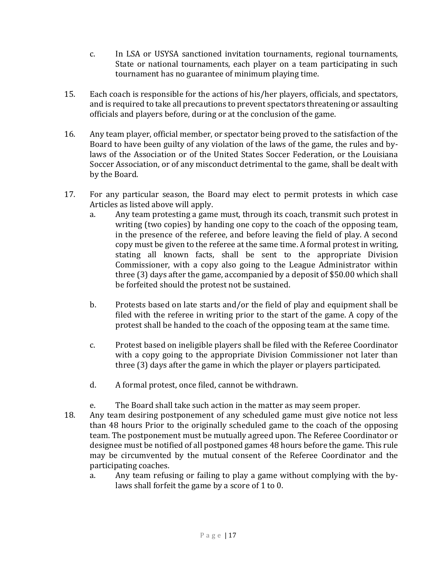- c. In LSA or USYSA sanctioned invitation tournaments, regional tournaments, State or national tournaments, each player on a team participating in such tournament has no guarantee of minimum playing time.
- 15. Each coach is responsible for the actions of his/her players, officials, and spectators, and is required to take all precautions to prevent spectators threatening or assaulting officials and players before, during or at the conclusion of the game.
- 16. Any team player, official member, or spectator being proved to the satisfaction of the Board to have been guilty of any violation of the laws of the game, the rules and bylaws of the Association or of the United States Soccer Federation, or the Louisiana Soccer Association, or of any misconduct detrimental to the game, shall be dealt with by the Board.
- 17. For any particular season, the Board may elect to permit protests in which case Articles as listed above will apply.
	- a. Any team protesting a game must, through its coach, transmit such protest in writing (two copies) by handing one copy to the coach of the opposing team, in the presence of the referee, and before leaving the field of play. A second copy must be given to the referee at the same time. A formal protest in writing, stating all known facts, shall be sent to the appropriate Division Commissioner, with a copy also going to the League Administrator within three (3) days after the game, accompanied by a deposit of \$50.00 which shall be forfeited should the protest not be sustained.
	- b. Protests based on late starts and/or the field of play and equipment shall be filed with the referee in writing prior to the start of the game. A copy of the protest shall be handed to the coach of the opposing team at the same time.
	- c. Protest based on ineligible players shall be filed with the Referee Coordinator with a copy going to the appropriate Division Commissioner not later than three (3) days after the game in which the player or players participated.
	- d. A formal protest, once filed, cannot be withdrawn.
	- e. The Board shall take such action in the matter as may seem proper.
- 18. Any team desiring postponement of any scheduled game must give notice not less than 48 hours Prior to the originally scheduled game to the coach of the opposing team. The postponement must be mutually agreed upon. The Referee Coordinator or designee must be notified of all postponed games 48 hours before the game. This rule may be circumvented by the mutual consent of the Referee Coordinator and the participating coaches.
	- a. Any team refusing or failing to play a game without complying with the bylaws shall forfeit the game by a score of 1 to 0.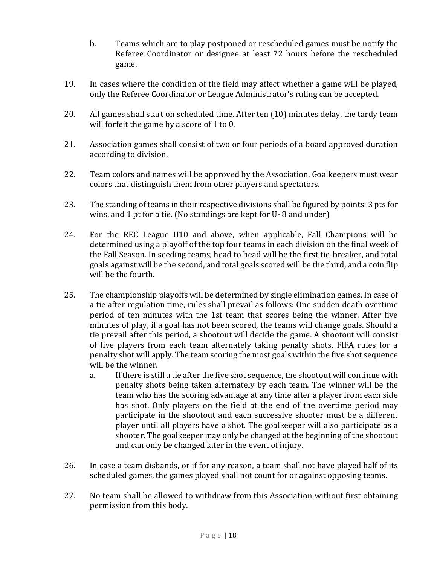- b. Teams which are to play postponed or rescheduled games must be notify the Referee Coordinator or designee at least 72 hours before the rescheduled game.
- 19. In cases where the condition of the field may affect whether a game will be played, only the Referee Coordinator or League Administrator's ruling can be accepted.
- 20. All games shall start on scheduled time. After ten (10) minutes delay, the tardy team will forfeit the game by a score of 1 to 0.
- 21. Association games shall consist of two or four periods of a board approved duration according to division.
- 22. Team colors and names will be approved by the Association. Goalkeepers must wear colors that distinguish them from other players and spectators.
- 23. The standing of teams in their respective divisions shall be figured by points: 3 pts for wins, and 1 pt for a tie. (No standings are kept for U- 8 and under)
- 24. For the REC League U10 and above, when applicable, Fall Champions will be determined using a playoff of the top four teams in each division on the final week of the Fall Season. In seeding teams, head to head will be the first tie-breaker, and total goals against will be the second, and total goals scored will be the third, and a coin flip will be the fourth.
- 25. The championship playoffs will be determined by single elimination games. In case of a tie after regulation time, rules shall prevail as follows: One sudden death overtime period of ten minutes with the 1st team that scores being the winner. After five minutes of play, if a goal has not been scored, the teams will change goals. Should a tie prevail after this period, a shootout will decide the game. A shootout will consist of five players from each team alternately taking penalty shots. FIFA rules for a penalty shot will apply. The team scoring the most goals within the five shot sequence will be the winner.
	- a. If there is still a tie after the five shot sequence, the shootout will continue with penalty shots being taken alternately by each team. The winner will be the team who has the scoring advantage at any time after a player from each side has shot. Only players on the field at the end of the overtime period may participate in the shootout and each successive shooter must be a different player until all players have a shot. The goalkeeper will also participate as a shooter. The goalkeeper may only be changed at the beginning of the shootout and can only be changed later in the event of injury.
- 26. In case a team disbands, or if for any reason, a team shall not have played half of its scheduled games, the games played shall not count for or against opposing teams.
- 27. No team shall be allowed to withdraw from this Association without first obtaining permission from this body.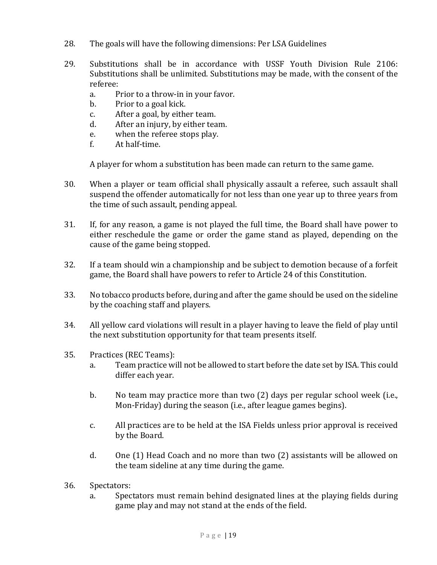- 28. The goals will have the following dimensions: Per LSA Guidelines
- 29. Substitutions shall be in accordance with USSF Youth Division Rule 2106: Substitutions shall be unlimited. Substitutions may be made, with the consent of the referee:
	- a. Prior to a throw-in in your favor.
	- b. Prior to a goal kick.
	- c. After a goal, by either team.
	- d. After an injury, by either team.
	- e. when the referee stops play.
	- f. At half-time.

A player for whom a substitution has been made can return to the same game.

- 30. When a player or team official shall physically assault a referee, such assault shall suspend the offender automatically for not less than one year up to three years from the time of such assault, pending appeal.
- 31. If, for any reason, a game is not played the full time, the Board shall have power to either reschedule the game or order the game stand as played, depending on the cause of the game being stopped.
- 32. If a team should win a championship and be subject to demotion because of a forfeit game, the Board shall have powers to refer to Article 24 of this Constitution.
- 33. No tobacco products before, during and after the game should be used on the sideline by the coaching staff and players.
- 34. All yellow card violations will result in a player having to leave the field of play until the next substitution opportunity for that team presents itself.
- 35. Practices (REC Teams):
	- a. Team practice will not be allowed to start before the date set by ISA. This could differ each year.
	- b. No team may practice more than two (2) days per regular school week (i.e., Mon-Friday) during the season (i.e., after league games begins).
	- c. All practices are to be held at the ISA Fields unless prior approval is received by the Board.
	- d. One (1) Head Coach and no more than two (2) assistants will be allowed on the team sideline at any time during the game.
- 36. Spectators:
	- a. Spectators must remain behind designated lines at the playing fields during game play and may not stand at the ends of the field.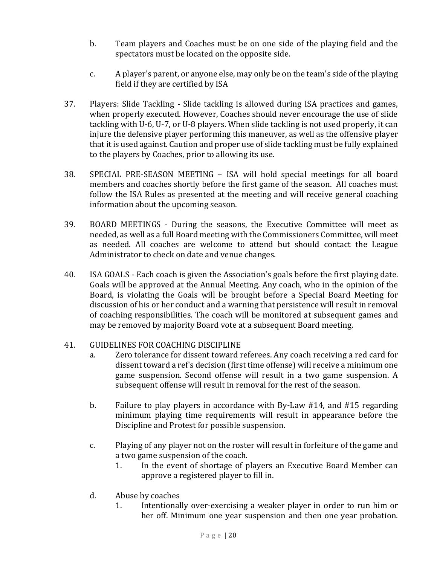- b. Team players and Coaches must be on one side of the playing field and the spectators must be located on the opposite side.
- c. A player's parent, or anyone else, may only be on the team's side of the playing field if they are certified by ISA
- 37. Players: Slide Tackling Slide tackling is allowed during ISA practices and games, when properly executed. However, Coaches should never encourage the use of slide tackling with U-6, U-7, or U-8 players. When slide tackling is not used properly, it can injure the defensive player performing this maneuver, as well as the offensive player that it is used against. Caution and proper use of slide tackling must be fully explained to the players by Coaches, prior to allowing its use.
- 38. SPECIAL PRE-SEASON MEETING ISA will hold special meetings for all board members and coaches shortly before the first game of the season. All coaches must follow the ISA Rules as presented at the meeting and will receive general coaching information about the upcoming season.
- 39. BOARD MEETINGS During the seasons, the Executive Committee will meet as needed, as well as a full Board meeting with the Commissioners Committee, will meet as needed. All coaches are welcome to attend but should contact the League Administrator to check on date and venue changes.
- 40. ISA GOALS Each coach is given the Association's goals before the first playing date. Goals will be approved at the Annual Meeting. Any coach, who in the opinion of the Board, is violating the Goals will be brought before a Special Board Meeting for discussion of his or her conduct and a warning that persistence will result in removal of coaching responsibilities. The coach will be monitored at subsequent games and may be removed by majority Board vote at a subsequent Board meeting.

# 41. GUIDELINES FOR COACHING DISCIPLINE

- a. Zero tolerance for dissent toward referees. Any coach receiving a red card for dissent toward a ref's decision (first time offense) will receive a minimum one game suspension. Second offense will result in a two game suspension. A subsequent offense will result in removal for the rest of the season.
- b. Failure to play players in accordance with By-Law #14, and #15 regarding minimum playing time requirements will result in appearance before the Discipline and Protest for possible suspension.
- c. Playing of any player not on the roster will result in forfeiture of the game and a two game suspension of the coach.
	- 1. In the event of shortage of players an Executive Board Member can approve a registered player to fill in.
- d. Abuse by coaches
	- 1. Intentionally over-exercising a weaker player in order to run him or her off. Minimum one year suspension and then one year probation.